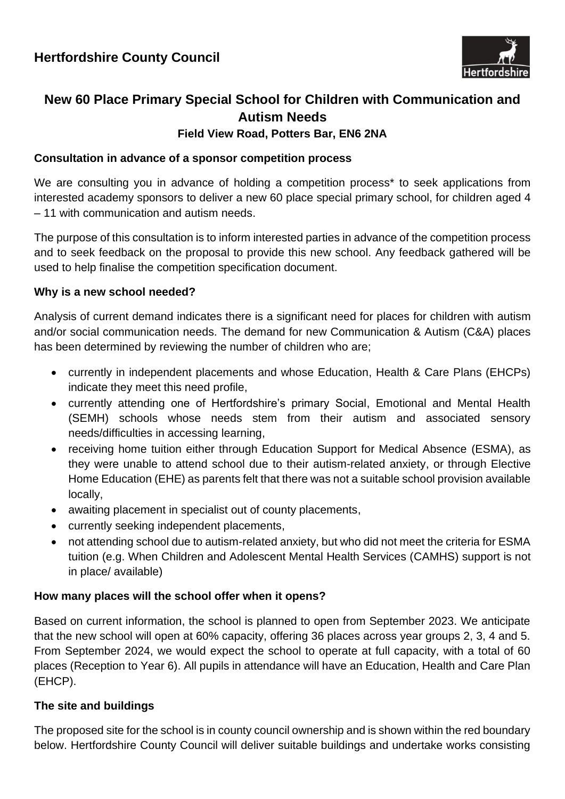

# **New 60 Place Primary Special School for Children with Communication and Autism Needs Field View Road, Potters Bar, EN6 2NA**

## **Consultation in advance of a sponsor competition process**

We are consulting you in advance of holding a competition process<sup>\*</sup> to seek applications from interested academy sponsors to deliver a new 60 place special primary school, for children aged 4 – 11 with communication and autism needs.

The purpose of this consultation is to inform interested parties in advance of the competition process and to seek feedback on the proposal to provide this new school. Any feedback gathered will be used to help finalise the competition specification document.

### **Why is a new school needed?**

Analysis of current demand indicates there is a significant need for places for children with autism and/or social communication needs. The demand for new Communication & Autism (C&A) places has been determined by reviewing the number of children who are;

- currently in independent placements and whose Education, Health & Care Plans (EHCPs) indicate they meet this need profile,
- currently attending one of Hertfordshire's primary Social, Emotional and Mental Health (SEMH) schools whose needs stem from their autism and associated sensory needs/difficulties in accessing learning,
- receiving home tuition either through Education Support for Medical Absence (ESMA), as they were unable to attend school due to their autism-related anxiety, or through Elective Home Education (EHE) as parents felt that there was not a suitable school provision available locally,
- awaiting placement in specialist out of county placements,
- currently seeking independent placements,
- not attending school due to autism-related anxiety, but who did not meet the criteria for ESMA tuition (e.g. When Children and Adolescent Mental Health Services (CAMHS) support is not in place/ available)

## **How many places will the school offer when it opens?**

Based on current information, the school is planned to open from September 2023. We anticipate that the new school will open at 60% capacity, offering 36 places across year groups 2, 3, 4 and 5. From September 2024, we would expect the school to operate at full capacity, with a total of 60 places (Reception to Year 6). All pupils in attendance will have an Education, Health and Care Plan (EHCP).

## **The site and buildings**

The proposed site for the school is in county council ownership and is shown within the red boundary below. Hertfordshire County Council will deliver suitable buildings and undertake works consisting